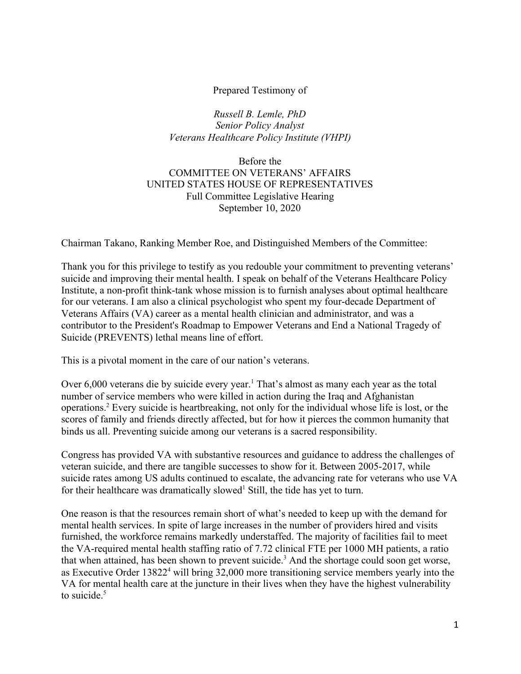### Prepared Testimony of

*Russell B. Lemle, PhD Senior Policy Analyst Veterans Healthcare Policy Institute (VHPI)*

### Before the COMMITTEE ON VETERANS' AFFAIRS UNITED STATES HOUSE OF REPRESENTATIVES Full Committee Legislative Hearing September 10, 2020

Chairman Takano, Ranking Member Roe, and Distinguished Members of the Committee:

Thank you for this privilege to testify as you redouble your commitment to preventing veterans' suicide and improving their mental health. I speak on behalf of the Veterans Healthcare Policy Institute, a non-profit think-tank whose mission is to furnish analyses about optimal healthcare for our veterans. I am also a clinical psychologist who spent my four-decade Department of Veterans Affairs (VA) career as a mental health clinician and administrator, and was a contributor to the President's Roadmap to Empower Veterans and End a National Tragedy of Suicide (PREVENTS) lethal means line of effort.

This is a pivotal moment in the care of our nation's veterans.

Over 6,000 veterans die by suicide every year.<sup>1</sup> That's almost as many each year as the total number of service members who were killed in action during the Iraq and Afghanistan operations.<sup>2</sup> Every suicide is heartbreaking, not only for the individual whose life is lost, or the scores of family and friends directly affected, but for how it pierces the common humanity that binds us all. Preventing suicide among our veterans is a sacred responsibility.

Congress has provided VA with substantive resources and guidance to address the challenges of veteran suicide, and there are tangible successes to show for it. Between 2005-2017, while suicide rates among US adults continued to escalate, the advancing rate for veterans who use VA for their healthcare was dramatically slowed<sup>1</sup> Still, the tide has yet to turn.

One reason is that the resources remain short of what's needed to keep up with the demand for mental health services. In spite of large increases in the number of providers hired and visits furnished, the workforce remains markedly understaffed. The majority of facilities fail to meet the VA-required mental health staffing ratio of 7.72 clinical FTE per 1000 MH patients, a ratio that when attained, has been shown to prevent suicide.<sup>3</sup> And the shortage could soon get worse, as Executive Order 13822<sup>4</sup> will bring 32,000 more transitioning service members yearly into the VA for mental health care at the juncture in their lives when they have the highest vulnerability to suicide. $5$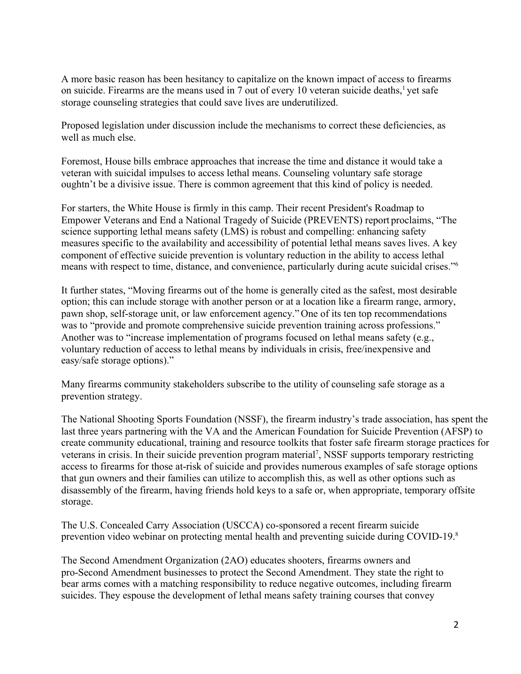A more basic reason has been hesitancy to capitalize on the known impact of access to firearms on suicide. Firearms are the means used in 7 out of every 10 veteran suicide deaths, $<sup>1</sup>$  yet safe</sup> storage counseling strategies that could save lives are underutilized.

Proposed legislation under discussion include the mechanisms to correct these deficiencies, as well as much else.

Foremost, House bills embrace approaches that increase the time and distance it would take a veteran with suicidal impulses to access lethal means. Counseling voluntary safe storage oughtn't be a divisive issue. There is common agreement that this kind of policy is needed.

For starters, the White House is firmly in this camp. Their recent President's Roadmap to Empower Veterans and End a National Tragedy of Suicide (PREVENTS) report proclaims, "The science supporting lethal means safety (LMS) is robust and compelling: enhancing safety measures specific to the availability and accessibility of potential lethal means saves lives. A key component of effective suicide prevention is voluntary reduction in the ability to access lethal means with respect to time, distance, and convenience, particularly during acute suicidal crises."<sup>6</sup>

It further states, "Moving firearms out of the home is generally cited as the safest, most desirable option; this can include storage with another person or at a location like a firearm range, armory, pawn shop, self-storage unit, or law enforcement agency." One of its ten top recommendations was to "provide and promote comprehensive suicide prevention training across professions." Another was to "increase implementation of programs focused on lethal means safety (e.g., voluntary reduction of access to lethal means by individuals in crisis, free/inexpensive and easy/safe storage options)."

Many firearms community stakeholders subscribe to the utility of counseling safe storage as a prevention strategy.

The National Shooting Sports Foundation (NSSF), the firearm industry's trade association, has spent the last three years partnering with the VA and the American Foundation for Suicide Prevention (AFSP) to create community educational, training and resource toolkits that foster safe firearm storage practices for veterans in crisis. In their suicide prevention program material<sup>7</sup>, NSSF supports temporary restricting access to firearms for those at-risk of suicide and provides numerous examples of safe storage options that gun owners and their families can utilize to accomplish this, as well as other options such as disassembly of the firearm, having friends hold keys to a safe or, when appropriate, temporary offsite storage.

The U.S. Concealed Carry Association (USCCA) co-sponsored a recent firearm suicide prevention video webinar on protecting mental health and preventing suicide during COVID-19.<sup>8</sup>

The Second Amendment Organization (2AO) educates shooters, firearms owners and pro-Second Amendment businesses to protect the Second Amendment. They state the right to bear arms comes with a matching responsibility to reduce negative outcomes, including firearm suicides. They espouse the development of lethal means safety training courses that convey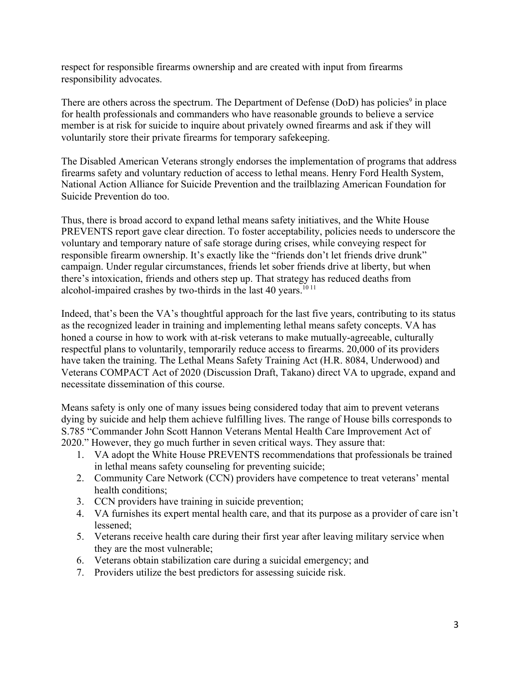respect for responsible firearms ownership and are created with input from firearms responsibility advocates.

There are others across the spectrum. The Department of Defense (DoD) has policies<sup>9</sup> in place for health professionals and commanders who have reasonable grounds to believe a service member is at risk for suicide to inquire about privately owned firearms and ask if they will voluntarily store their private firearms for temporary safekeeping.

The Disabled American Veterans strongly endorses the implementation of programs that address firearms safety and voluntary reduction of access to lethal means. Henry Ford Health System, National Action Alliance for Suicide Prevention and the trailblazing American Foundation for Suicide Prevention do too.

Thus, there is broad accord to expand lethal means safety initiatives, and the White House PREVENTS report gave clear direction. To foster acceptability, policies needs to underscore the voluntary and temporary nature of safe storage during crises, while conveying respect for responsible firearm ownership. It's exactly like the "friends don't let friends drive drunk" campaign. Under regular circumstances, friends let sober friends drive at liberty, but when there's intoxication, friends and others step up. That strategy has reduced deaths from alcohol-impaired crashes by two-thirds in the last 40 years. $1011$ 

Indeed, that's been the VA's thoughtful approach for the last five years, contributing to its status as the recognized leader in training and implementing lethal means safety concepts. VA has honed a course in how to work with at-risk veterans to make mutually-agreeable, culturally respectful plans to voluntarily, temporarily reduce access to firearms. 20,000 of its providers have taken the training. The Lethal Means Safety Training Act (H.R. 8084, Underwood) and Veterans COMPACT Act of 2020 (Discussion Draft, Takano) direct VA to upgrade, expand and necessitate dissemination of this course.

Means safety is only one of many issues being considered today that aim to prevent veterans dying by suicide and help them achieve fulfilling lives. The range of House bills corresponds to S.785 "Commander John Scott Hannon Veterans Mental Health Care Improvement Act of 2020." However, they go much further in seven critical ways. They assure that:

- 1. VA adopt the White House PREVENTS recommendations that professionals be trained in lethal means safety counseling for preventing suicide;
- 2. Community Care Network (CCN) providers have competence to treat veterans' mental health conditions;
- 3. CCN providers have training in suicide prevention;
- 4. VA furnishes its expert mental health care, and that its purpose as a provider of care isn't lessened;
- 5. Veterans receive health care during their first year after leaving military service when they are the most vulnerable;
- 6. Veterans obtain stabilization care during a suicidal emergency; and
- 7. Providers utilize the best predictors for assessing suicide risk.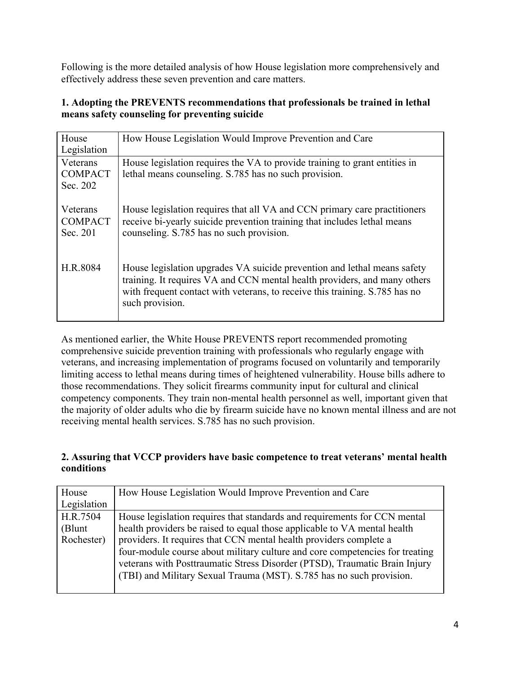Following is the more detailed analysis of how House legislation more comprehensively and effectively address these seven prevention and care matters.

## **1. Adopting the PREVENTS recommendations that professionals be trained in lethal means safety counseling for preventing suicide**

| House<br>Legislation                   | How House Legislation Would Improve Prevention and Care                                                                                                                                                                                                 |
|----------------------------------------|---------------------------------------------------------------------------------------------------------------------------------------------------------------------------------------------------------------------------------------------------------|
| Veterans<br><b>COMPACT</b><br>Sec. 202 | House legislation requires the VA to provide training to grant entities in<br>lethal means counseling. S.785 has no such provision.                                                                                                                     |
| Veterans<br><b>COMPACT</b><br>Sec. 201 | House legislation requires that all VA and CCN primary care practitioners<br>receive bi-yearly suicide prevention training that includes lethal means<br>counseling. S.785 has no such provision.                                                       |
| H.R.8084                               | House legislation upgrades VA suicide prevention and lethal means safety<br>training. It requires VA and CCN mental health providers, and many others<br>with frequent contact with veterans, to receive this training. S.785 has no<br>such provision. |

As mentioned earlier, the White House PREVENTS report recommended promoting comprehensive suicide prevention training with professionals who regularly engage with veterans, and increasing implementation of programs focused on voluntarily and temporarily limiting access to lethal means during times of heightened vulnerability. House bills adhere to those recommendations. They solicit firearms community input for cultural and clinical competency components. They train non-mental health personnel as well, important given that the majority of older adults who die by firearm suicide have no known mental illness and are not receiving mental health services. S.785 has no such provision.

### **2. Assuring that VCCP providers have basic competence to treat veterans' mental health conditions**

| House       | How House Legislation Would Improve Prevention and Care                      |
|-------------|------------------------------------------------------------------------------|
| Legislation |                                                                              |
| H.R.7504    | House legislation requires that standards and requirements for CCN mental    |
| (Blunt      | health providers be raised to equal those applicable to VA mental health     |
| Rochester)  | providers. It requires that CCN mental health providers complete a           |
|             | four-module course about military culture and core competencies for treating |
|             | veterans with Posttraumatic Stress Disorder (PTSD), Traumatic Brain Injury   |
|             | (TBI) and Military Sexual Trauma (MST). S.785 has no such provision.         |
|             |                                                                              |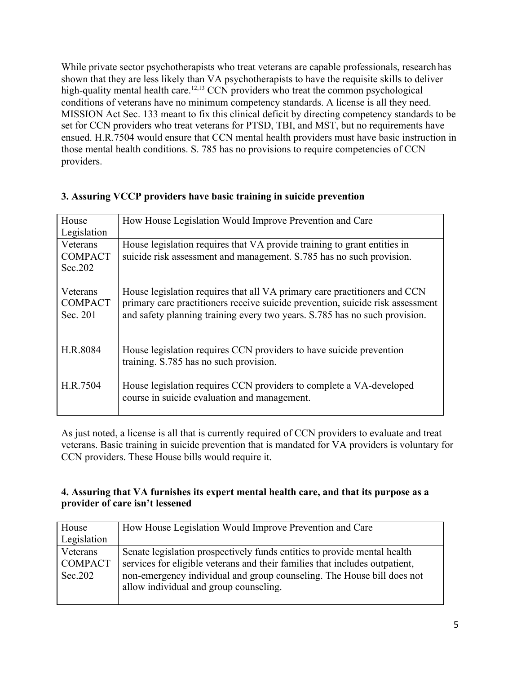While private sector psychotherapists who treat veterans are capable professionals, research has shown that they are less likely than VA psychotherapists to have the requisite skills to deliver high-quality mental health care.<sup>12,13</sup> CCN providers who treat the common psychological conditions of veterans have no minimum competency standards. A license is all they need. MISSION Act Sec. 133 meant to fix this clinical deficit by directing competency standards to be set for CCN providers who treat veterans for PTSD, TBI, and MST, but no requirements have ensued. H.R.7504 would ensure that CCN mental health providers must have basic instruction in those mental health conditions. S. 785 has no provisions to require competencies of CCN providers.

| 3. Assuring VCCP providers have basic training in suicide prevention |
|----------------------------------------------------------------------|
|----------------------------------------------------------------------|

| House          | How House Legislation Would Improve Prevention and Care                        |
|----------------|--------------------------------------------------------------------------------|
| Legislation    |                                                                                |
| Veterans       | House legislation requires that VA provide training to grant entities in       |
| <b>COMPACT</b> | suicide risk assessment and management. S.785 has no such provision.           |
| Sec. 202       |                                                                                |
|                |                                                                                |
| Veterans       | House legislation requires that all VA primary care practitioners and CCN      |
| <b>COMPACT</b> | primary care practitioners receive suicide prevention, suicide risk assessment |
| Sec. 201       | and safety planning training every two years. S.785 has no such provision.     |
|                |                                                                                |
| H.R.8084       | House legislation requires CCN providers to have suicide prevention            |
|                | training. S.785 has no such provision.                                         |
|                |                                                                                |
| H.R.7504       | House legislation requires CCN providers to complete a VA-developed            |
|                | course in suicide evaluation and management.                                   |
|                |                                                                                |

As just noted, a license is all that is currently required of CCN providers to evaluate and treat veterans. Basic training in suicide prevention that is mandated for VA providers is voluntary for CCN providers. These House bills would require it.

### **4. Assuring that VA furnishes its expert mental health care, and that its purpose as a provider of care isn't lessened**

| House                                 | How House Legislation Would Improve Prevention and Care                                                                                                                                                                                                                     |
|---------------------------------------|-----------------------------------------------------------------------------------------------------------------------------------------------------------------------------------------------------------------------------------------------------------------------------|
| Legislation                           |                                                                                                                                                                                                                                                                             |
| Veterans<br><b>COMPACT</b><br>Sec.202 | Senate legislation prospectively funds entities to provide mental health<br>services for eligible veterans and their families that includes outpatient,<br>non-emergency individual and group counseling. The House bill does not<br>allow individual and group counseling. |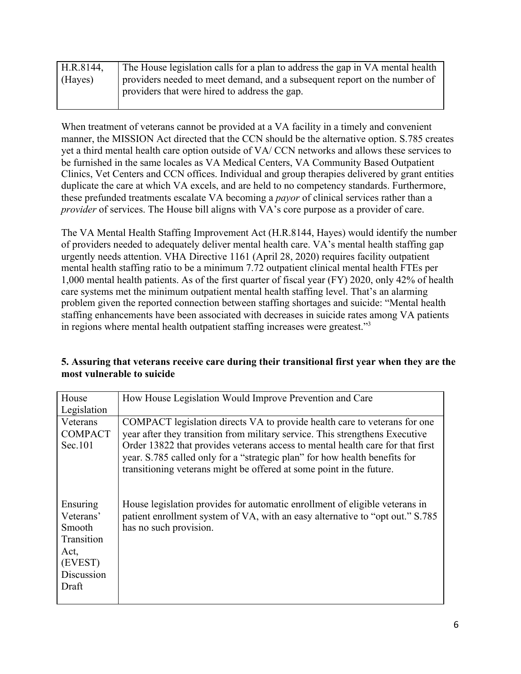| H.R.8144, | The House legislation calls for a plan to address the gap in VA mental health |
|-----------|-------------------------------------------------------------------------------|
| (Hayes)   | providers needed to meet demand, and a subsequent report on the number of     |
|           | providers that were hired to address the gap.                                 |
|           |                                                                               |

When treatment of veterans cannot be provided at a VA facility in a timely and convenient manner, the MISSION Act directed that the CCN should be the alternative option. S.785 creates yet a third mental health care option outside of VA/ CCN networks and allows these services to be furnished in the same locales as VA Medical Centers, VA Community Based Outpatient Clinics, Vet Centers and CCN offices. Individual and group therapies delivered by grant entities duplicate the care at which VA excels, and are held to no competency standards. Furthermore, these prefunded treatments escalate VA becoming a *payor* of clinical services rather than a *provider* of services. The House bill aligns with VA's core purpose as a provider of care.

The VA Mental Health Staffing Improvement Act (H.R.8144, Hayes) would identify the number of providers needed to adequately deliver mental health care. VA's mental health staffing gap urgently needs attention. VHA Directive 1161 (April 28, 2020) requires facility outpatient mental health staffing ratio to be a minimum 7.72 outpatient clinical mental health FTEs per 1,000 mental health patients. As of the first quarter of fiscal year (FY) 2020, only 42% of health care systems met the minimum outpatient mental health staffing level. That's an alarming problem given the reported connection between staffing shortages and suicide: "Mental health staffing enhancements have been associated with decreases in suicide rates among VA patients in regions where mental health outpatient staffing increases were greatest."<sup>3</sup>

| House<br>Legislation                                                                    | How House Legislation Would Improve Prevention and Care                                                                                                                                                                                                                                                                                                                                           |
|-----------------------------------------------------------------------------------------|---------------------------------------------------------------------------------------------------------------------------------------------------------------------------------------------------------------------------------------------------------------------------------------------------------------------------------------------------------------------------------------------------|
| Veterans<br><b>COMPACT</b><br>Sec.101                                                   | COMPACT legislation directs VA to provide health care to veterans for one<br>year after they transition from military service. This strengthens Executive<br>Order 13822 that provides veterans access to mental health care for that first<br>year. S.785 called only for a "strategic plan" for how health benefits for<br>transitioning veterans might be offered at some point in the future. |
| Ensuring<br>Veterans'<br>Smooth<br>Transition<br>Act,<br>(EVEST)<br>Discussion<br>Draft | House legislation provides for automatic enrollment of eligible veterans in<br>patient enrollment system of VA, with an easy alternative to "opt out." S.785<br>has no such provision.                                                                                                                                                                                                            |

# **5. Assuring that veterans receive care during their transitional first year when they are the most vulnerable to suicide**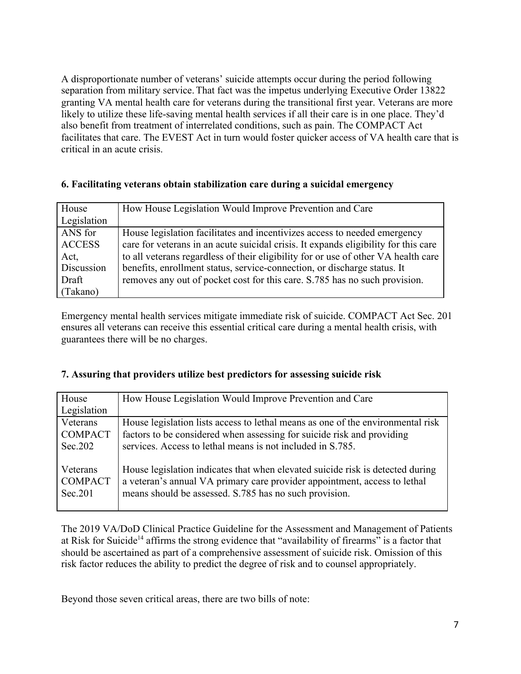A disproportionate number of veterans' suicide attempts occur during the period following separation from military service. That fact was the impetus underlying Executive Order 13822 granting VA mental health care for veterans during the transitional first year. Veterans are more likely to utilize these life-saving mental health services if all their care is in one place. They'd also benefit from treatment of interrelated conditions, such as pain. The COMPACT Act facilitates that care. The EVEST Act in turn would foster quicker access of VA health care that is critical in an acute crisis.

## **6. Facilitating veterans obtain stabilization care during a suicidal emergency**

| House         | How House Legislation Would Improve Prevention and Care                             |
|---------------|-------------------------------------------------------------------------------------|
| Legislation   |                                                                                     |
| ANS for       | House legislation facilitates and incentivizes access to needed emergency           |
| <b>ACCESS</b> | care for veterans in an acute suicidal crisis. It expands eligibility for this care |
| Act,          | to all veterans regardless of their eligibility for or use of other VA health care  |
| Discussion    | benefits, enrollment status, service-connection, or discharge status. It            |
| Draft         | removes any out of pocket cost for this care. S.785 has no such provision.          |
| (Takano)      |                                                                                     |

Emergency mental health services mitigate immediate risk of suicide. COMPACT Act Sec. 201 ensures all veterans can receive this essential critical care during a mental health crisis, with guarantees there will be no charges.

# **7. Assuring that providers utilize best predictors for assessing suicide risk**

| House                                 | How House Legislation Would Improve Prevention and Care                                                                                                                                                               |
|---------------------------------------|-----------------------------------------------------------------------------------------------------------------------------------------------------------------------------------------------------------------------|
| Legislation                           |                                                                                                                                                                                                                       |
| Veterans                              | House legislation lists access to lethal means as one of the environmental risk                                                                                                                                       |
| <b>COMPACT</b>                        | factors to be considered when assessing for suicide risk and providing                                                                                                                                                |
| Sec.202                               | services. Access to lethal means is not included in S.785.                                                                                                                                                            |
| Veterans<br><b>COMPACT</b><br>Sec.201 | House legislation indicates that when elevated suicide risk is detected during<br>a veteran's annual VA primary care provider appointment, access to lethal<br>means should be assessed. S.785 has no such provision. |

The 2019 VA/DoD Clinical Practice Guideline for the Assessment and Management of Patients at Risk for Suicide<sup>14</sup> affirms the strong evidence that "availability of firearms" is a factor that should be ascertained as part of a comprehensive assessment of suicide risk. Omission of this risk factor reduces the ability to predict the degree of risk and to counsel appropriately.

Beyond those seven critical areas, there are two bills of note: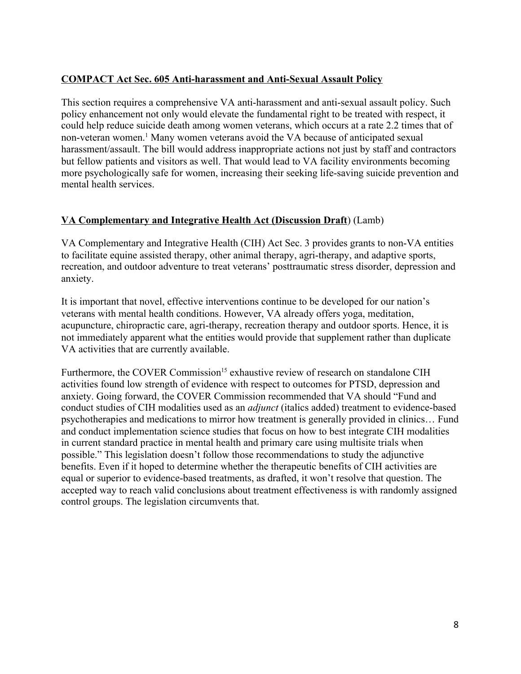# **COMPACT Act Sec. 605 Anti-harassment and Anti-Sexual Assault Policy**

This section requires a comprehensive VA anti-harassment and anti-sexual assault policy. Such policy enhancement not only would elevate the fundamental right to be treated with respect, it could help reduce suicide death among women veterans, which occurs at a rate 2.2 times that of non-veteran women.<sup>1</sup> Many women veterans avoid the VA because of anticipated sexual harassment/assault. The bill would address inappropriate actions not just by staff and contractors but fellow patients and visitors as well. That would lead to VA facility environments becoming more psychologically safe for women, increasing their seeking life-saving suicide prevention and mental health services.

# **VA Complementary and Integrative Health Act (Discussion Draft**) (Lamb)

VA Complementary and Integrative Health (CIH) Act Sec. 3 provides grants to non-VA entities to facilitate equine assisted therapy, other animal therapy, agri-therapy, and adaptive sports, recreation, and outdoor adventure to treat veterans' posttraumatic stress disorder, depression and anxiety.

It is important that novel, effective interventions continue to be developed for our nation's veterans with mental health conditions. However, VA already offers yoga, meditation, acupuncture, chiropractic care, agri-therapy, recreation therapy and outdoor sports. Hence, it is not immediately apparent what the entities would provide that supplement rather than duplicate VA activities that are currently available.

Furthermore, the COVER Commission<sup>15</sup> exhaustive review of research on standalone CIH activities found low strength of evidence with respect to outcomes for PTSD, depression and anxiety. Going forward, the COVER Commission recommended that VA should "Fund and conduct studies of CIH modalities used as an *adjunct* (italics added) treatment to evidence-based psychotherapies and medications to mirror how treatment is generally provided in clinics… Fund and conduct implementation science studies that focus on how to best integrate CIH modalities in current standard practice in mental health and primary care using multisite trials when possible." This legislation doesn't follow those recommendations to study the adjunctive benefits. Even if it hoped to determine whether the therapeutic benefits of CIH activities are equal or superior to evidence-based treatments, as drafted, it won't resolve that question. The accepted way to reach valid conclusions about treatment effectiveness is with randomly assigned control groups. The legislation circumvents that.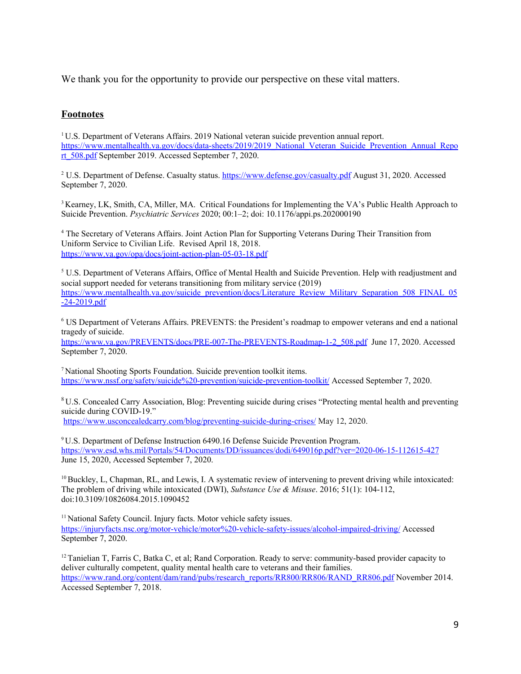We thank you for the opportunity to provide our perspective on these vital matters.

#### **Footnotes**

<sup>1</sup>U.S. Department of Veterans Affairs. 2019 National veteran suicide prevention annual report. [https://www.mentalhealth.va.gov/docs/data-sheets/2019/2019\\_National\\_Veteran\\_Suicide\\_Prevention\\_Annual\\_Repo](https://www.mentalhealth.va.gov/docs/data-sheets/2019/2019_National_Veteran_Suicide_Prevention_Annual_Report_508.pdf) [rt\\_508.pdf](https://www.mentalhealth.va.gov/docs/data-sheets/2019/2019_National_Veteran_Suicide_Prevention_Annual_Report_508.pdf) September 2019. Accessed September 7, 2020.

<sup>2</sup> U.S. Department of Defense. Casualty status. <https://www.defense.gov/casualty.pdf> August 31, 2020. Accessed September 7, 2020.

<sup>3</sup> Kearney, LK, Smith, CA, Miller, MA. Critical Foundations for Implementing the VA's Public Health Approach to Suicide Prevention. *Psychiatric Services* 2020; 00:1–2; doi: 10.1176/appi.ps.202000190

<sup>4</sup> The Secretary of Veterans Affairs. Joint Action Plan for Supporting Veterans During Their Transition from Uniform Service to Civilian Life. Revised April 18, 2018. <https://www.va.gov/opa/docs/joint-action-plan-05-03-18.pdf>

<sup>5</sup> U.S. Department of Veterans Affairs, Office of Mental Health and Suicide Prevention. Help with readjustment and social support needed for veterans transitioning from military service (2019) [https://www.mentalhealth.va.gov/suicide\\_prevention/docs/Literature\\_Review\\_Military\\_Separation\\_508\\_FINAL\\_05](https://www.mentalhealth.va.gov/suicide_prevention/docs/Literature_Review_Military_Separation_508_FINAL_05-24-2019.pdf)  $-24-2019.pdf$ 

<sup>6</sup> US Department of Veterans Affairs. PREVENTS: the President's roadmap to empower veterans and end a national tragedy of suicide.

[https://www.va.gov/PREVENTS/docs/PRE-007-The-PREVENTS-Roadmap-1-2\\_508.pdf](https://www.va.gov/PREVENTS/docs/PRE-007-The-PREVENTS-Roadmap-1-2_508.pdf) June 17, 2020. Accessed September 7, 2020.

<sup>7</sup>National Shooting Sports Foundation. Suicide prevention toolkit items. <https://www.nssf.org/safety/suicide%20-prevention/suicide-prevention-toolkit/> Accessed September 7, 2020.

<sup>8</sup> U.S. Concealed Carry Association, Blog: Preventing suicide during crises "Protecting mental health and preventing suicide during COVID-19."

<https://www.usconcealedcarry.com/blog/preventing-suicide-during-crises/> May 12, 2020.

<sup>9</sup>U.S. Department of Defense Instruction 6490.16 Defense Suicide Prevention Program. <https://www.esd.whs.mil/Portals/54/Documents/DD/issuances/dodi/649016p.pdf?ver=2020-06-15-112615-427> June 15, 2020, Accessed September 7, 2020.

 $10$ Buckley, L, Chapman, RL, and Lewis, I. A systematic review of intervening to prevent driving while intoxicated: The problem of driving while intoxicated (DWI), *Substance Use & Misuse*. 2016; 51(1): 104-112, doi:10.3109/10826084.2015.1090452

<sup>11</sup> National Safety Council. Injury facts. Motor vehicle safety issues. <https://injuryfacts.nsc.org/motor-vehicle/motor%20-vehicle-safety-issues/alcohol-impaired-driving/> Accessed September 7, 2020.

 $12$ Tanielian T, Farris C, Batka C, et al; Rand Corporation. Ready to serve: community-based provider capacity to deliver culturally competent, quality mental health care to veterans and their families. [https://www.rand.org/content/dam/rand/pubs/research\\_reports/RR800/RR806/RAND\\_RR806.pdf](https://www.rand.org/content/dam/rand/pubs/research_reports/RR800/RR806/RAND_RR806.pdf) November 2014. Accessed September 7, 2018.